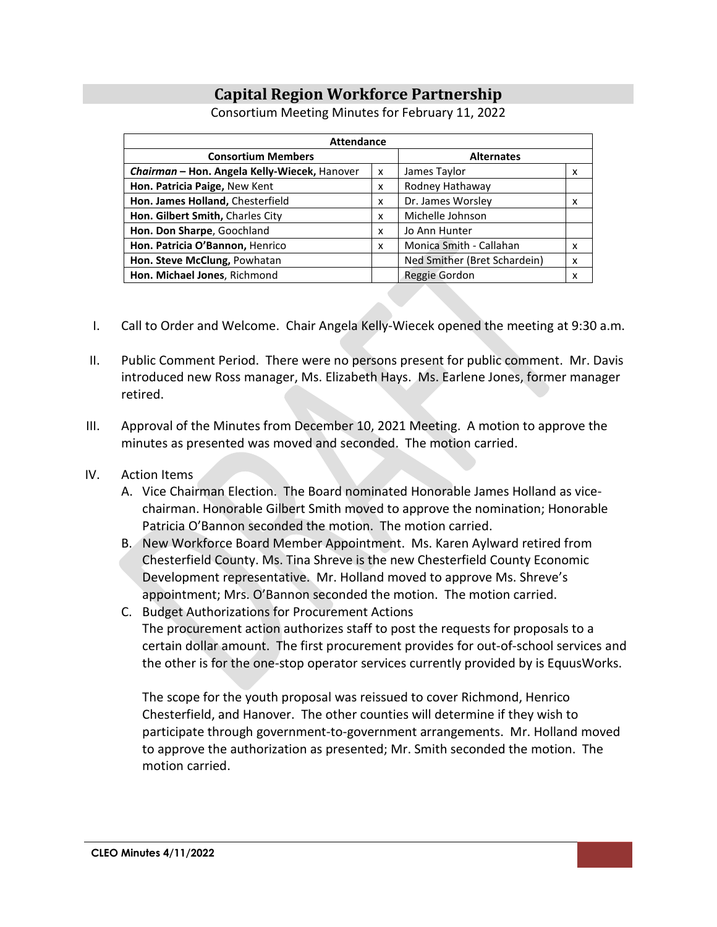# **Capital Region Workforce Partnership**

| <b>Attendance</b>                            |   |                              |   |
|----------------------------------------------|---|------------------------------|---|
| <b>Consortium Members</b>                    |   | <b>Alternates</b>            |   |
| Chairman - Hon. Angela Kelly-Wiecek, Hanover | x | James Taylor                 | X |
| Hon. Patricia Paige, New Kent                | x | Rodney Hathaway              |   |
| Hon. James Holland, Chesterfield             | x | Dr. James Worsley            | x |
| Hon. Gilbert Smith, Charles City             | x | Michelle Johnson             |   |
| Hon. Don Sharpe, Goochland                   | x | Jo Ann Hunter                |   |
| Hon. Patricia O'Bannon, Henrico              | x | Monica Smith - Callahan      | X |
| Hon. Steve McClung, Powhatan                 |   | Ned Smither (Bret Schardein) | X |
| Hon. Michael Jones, Richmond                 |   | Reggie Gordon                | x |

Consortium Meeting Minutes for February 11, 2022

- I. Call to Order and Welcome. Chair Angela Kelly-Wiecek opened the meeting at 9:30 a.m.
- II. Public Comment Period. There were no persons present for public comment. Mr. Davis introduced new Ross manager, Ms. Elizabeth Hays. Ms. Earlene Jones, former manager retired.
- III. Approval of the Minutes from December 10, 2021 Meeting. A motion to approve the minutes as presented was moved and seconded. The motion carried.
- IV. Action Items
	- A. Vice Chairman Election. The Board nominated Honorable James Holland as vicechairman. Honorable Gilbert Smith moved to approve the nomination; Honorable Patricia O'Bannon seconded the motion. The motion carried.
	- B. New Workforce Board Member Appointment. Ms. Karen Aylward retired from Chesterfield County. Ms. Tina Shreve is the new Chesterfield County Economic Development representative. Mr. Holland moved to approve Ms. Shreve's appointment; Mrs. O'Bannon seconded the motion. The motion carried.
	- C. Budget Authorizations for Procurement Actions The procurement action authorizes staff to post the requests for proposals to a certain dollar amount. The first procurement provides for out-of-school services and the other is for the one-stop operator services currently provided by is EquusWorks.

The scope for the youth proposal was reissued to cover Richmond, Henrico Chesterfield, and Hanover. The other counties will determine if they wish to participate through government-to-government arrangements. Mr. Holland moved to approve the authorization as presented; Mr. Smith seconded the motion. The motion carried.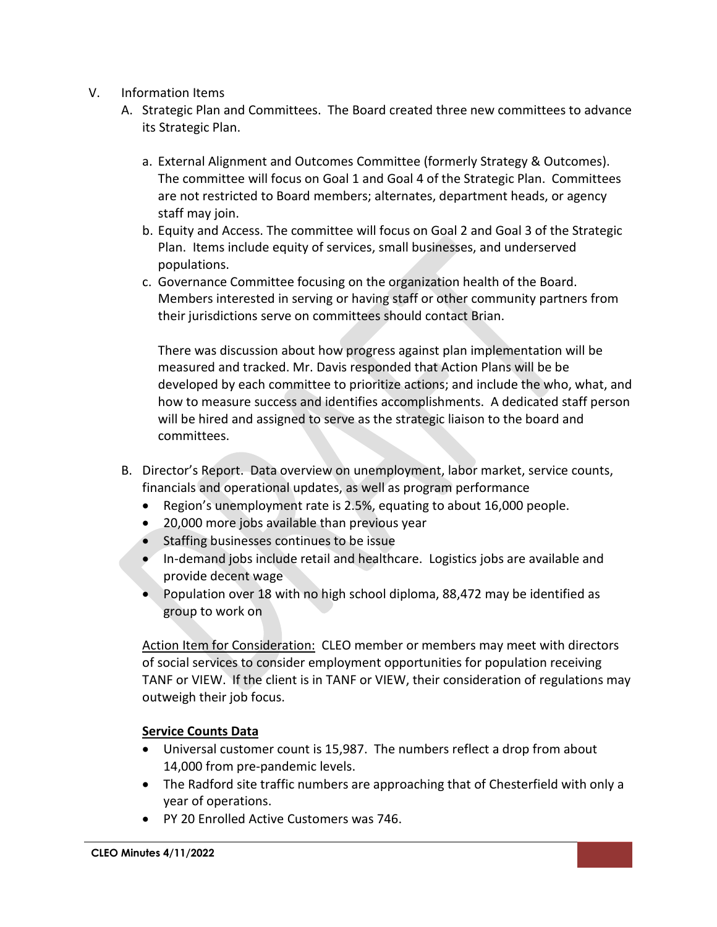- V. Information Items
	- A. Strategic Plan and Committees. The Board created three new committees to advance its Strategic Plan.
		- a. External Alignment and Outcomes Committee (formerly Strategy & Outcomes). The committee will focus on Goal 1 and Goal 4 of the Strategic Plan. Committees are not restricted to Board members; alternates, department heads, or agency staff may join.
		- b. Equity and Access. The committee will focus on Goal 2 and Goal 3 of the Strategic Plan. Items include equity of services, small businesses, and underserved populations.
		- c. Governance Committee focusing on the organization health of the Board. Members interested in serving or having staff or other community partners from their jurisdictions serve on committees should contact Brian.

There was discussion about how progress against plan implementation will be measured and tracked. Mr. Davis responded that Action Plans will be be developed by each committee to prioritize actions; and include the who, what, and how to measure success and identifies accomplishments. A dedicated staff person will be hired and assigned to serve as the strategic liaison to the board and committees.

- B. Director's Report. Data overview on unemployment, labor market, service counts, financials and operational updates, as well as program performance
	- Region's unemployment rate is 2.5%, equating to about 16,000 people.
	- 20,000 more jobs available than previous year
	- Staffing businesses continues to be issue
	- In-demand jobs include retail and healthcare. Logistics jobs are available and provide decent wage
	- Population over 18 with no high school diploma, 88,472 may be identified as group to work on

Action Item for Consideration: CLEO member or members may meet with directors of social services to consider employment opportunities for population receiving TANF or VIEW. If the client is in TANF or VIEW, their consideration of regulations may outweigh their job focus.

### **Service Counts Data**

- Universal customer count is 15,987. The numbers reflect a drop from about 14,000 from pre-pandemic levels.
- The Radford site traffic numbers are approaching that of Chesterfield with only a year of operations.
- PY 20 Enrolled Active Customers was 746.